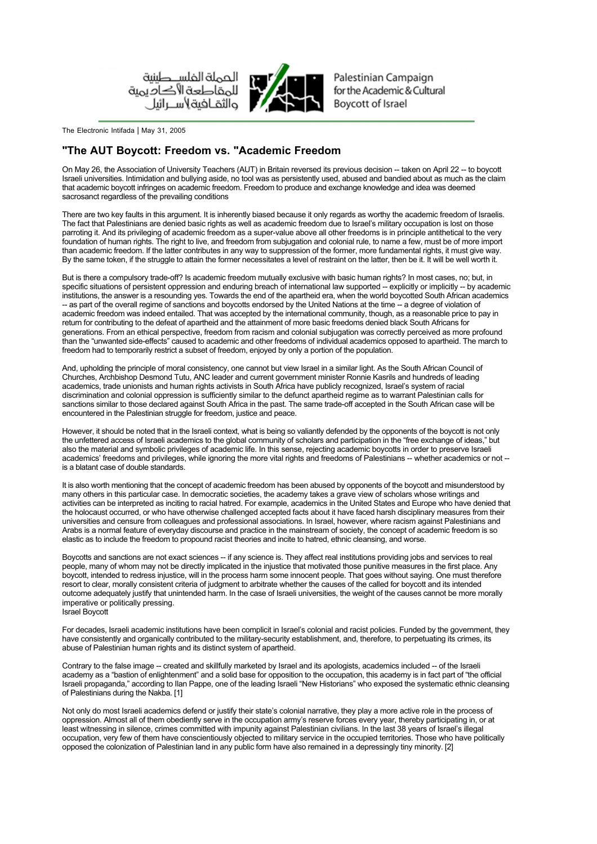الحملة الفلســطينية<br>للمقاطعة الأكاديمية .<br>والثقــافية لأســـرائيا



Palestinian Campaign for the Academic & Cultural Boycott of Israel

The Electronic Intifada | May 31, 2005

## **"The AUT Boycott: Freedom vs. "Academic Freedom**

On May 26, the Association of University Teachers (AUT) in Britain reversed its previous decision -- taken on April 22 -- to boycott Israeli universities. Intimidation and bullying aside, no tool was as persistently used, abused and bandied about as much as the claim that academic boycott infringes on academic freedom. Freedom to produce and exchange knowledge and idea was deemed sacrosanct regardless of the prevailing conditions

There are two key faults in this argument. It is inherently biased because it only regards as worthy the academic freedom of Israelis. The fact that Palestinians are denied basic rights as well as academic freedom due to Israel's military occupation is lost on those parroting it. And its privileging of academic freedom as a super-value above all other freedoms is in principle antithetical to the very foundation of human rights. The right to live, and freedom from subjugation and colonial rule, to name a few, must be of more import than academic freedom. If the latter contributes in any way to suppression of the former, more fundamental rights, it must give way. By the same token, if the struggle to attain the former necessitates a level of restraint on the latter, then be it. It will be well worth it.

But is there a compulsory trade-off? Is academic freedom mutually exclusive with basic human rights? In most cases, no; but, in specific situations of persistent oppression and enduring breach of international law supported -- explicitly or implicitly -- by academic institutions, the answer is a resounding yes. Towards the end of the apartheid era, when the world boycotted South African academics -- as part of the overall regime of sanctions and boycotts endorsed by the United Nations at the time -- a degree of violation of academic freedom was indeed entailed. That was accepted by the international community, though, as a reasonable price to pay in return for contributing to the defeat of apartheid and the attainment of more basic freedoms denied black South Africans for generations. From an ethical perspective, freedom from racism and colonial subjugation was correctly perceived as more profound than the "unwanted side-effects" caused to academic and other freedoms of individual academics opposed to apartheid. The march to freedom had to temporarily restrict a subset of freedom, enjoyed by only a portion of the population.

And, upholding the principle of moral consistency, one cannot but view Israel in a similar light. As the South African Council of Churches, Archbishop Desmond Tutu, ANC leader and current government minister Ronnie Kasrils and hundreds of leading academics, trade unionists and human rights activists in South Africa have publicly recognized, Israel's system of racial discrimination and colonial oppression is sufficiently similar to the defunct apartheid regime as to warrant Palestinian calls for sanctions similar to those declared against South Africa in the past. The same trade-off accepted in the South African case will be encountered in the Palestinian struggle for freedom, justice and peace.

However, it should be noted that in the Israeli context, what is being so valiantly defended by the opponents of the boycott is not only the unfettered access of Israeli academics to the global community of scholars and participation in the "free exchange of ideas," but also the material and symbolic privileges of academic life. In this sense, rejecting academic boycotts in order to preserve Israeli academics' freedoms and privileges, while ignoring the more vital rights and freedoms of Palestinians -- whether academics or not - is a blatant case of double standards.

It is also worth mentioning that the concept of academic freedom has been abused by opponents of the boycott and misunderstood by many others in this particular case. In democratic societies, the academy takes a grave view of scholars whose writings and activities can be interpreted as inciting to racial hatred. For example, academics in the United States and Europe who have denied that the holocaust occurred, or who have otherwise challenged accepted facts about it have faced harsh disciplinary measures from their universities and censure from colleagues and professional associations. In Israel, however, where racism against Palestinians and Arabs is a normal feature of everyday discourse and practice in the mainstream of society, the concept of academic freedom is so elastic as to include the freedom to propound racist theories and incite to hatred, ethnic cleansing, and worse.

Boycotts and sanctions are not exact sciences -- if any science is. They affect real institutions providing jobs and services to real people, many of whom may not be directly implicated in the injustice that motivated those punitive measures in the first place. Any boycott, intended to redress injustice, will in the process harm some innocent people. That goes without saying. One must therefore resort to clear, morally consistent criteria of judgment to arbitrate whether the causes of the called for boycott and its intended outcome adequately justify that unintended harm. In the case of Israeli universities, the weight of the causes cannot be more morally imperative or politically pressing. Israel Boycott

For decades, Israeli academic institutions have been complicit in Israel's colonial and racist policies. Funded by the government, they have consistently and organically contributed to the military-security establishment, and, therefore, to perpetuating its crimes, its abuse of Palestinian human rights and its distinct system of apartheid.

Contrary to the false image -- created and skillfully marketed by Israel and its apologists, academics included -- of the Israeli academy as a "bastion of enlightenment" and a solid base for opposition to the occupation, this academy is in fact part of "the official Israeli propaganda," according to Ilan Pappe, one of the leading Israeli "New Historians" who exposed the systematic ethnic cleansing of Palestinians during the Nakba. [1]

Not only do most Israeli academics defend or justify their state's colonial narrative, they play a more active role in the process of oppression. Almost all of them obediently serve in the occupation army's reserve forces every year, thereby participating in, or at least witnessing in silence, crimes committed with impunity against Palestinian civilians. In the last 38 years of Israel's illegal occupation, very few of them have conscientiously objected to military service in the occupied territories. Those who have politically opposed the colonization of Palestinian land in any public form have also remained in a depressingly tiny minority. [2]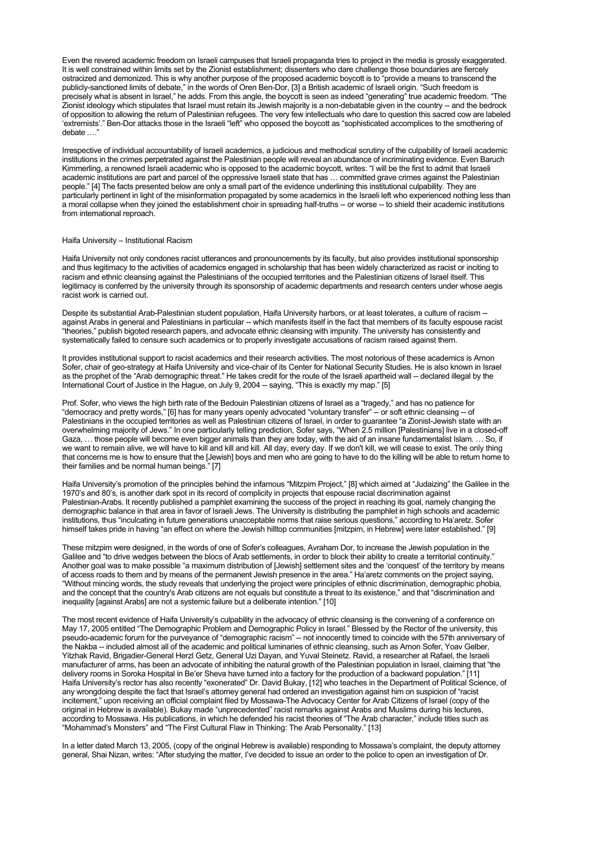Even the revered academic freedom on Israeli campuses that Israeli propaganda tries to project in the media is grossly exaggerated. It is well constrained within limits set by the Zionist establishment; dissenters who dare challenge those boundaries are fiercely ostracized and demonized. This is why another purpose of the proposed academic boycott is to "provide a means to transcend the publicly-sanctioned limits of debate," in the words of Oren Ben-Dor, [3] a British academic of Israeli origin. "Such freedom is precisely what is absent in Israel," he adds. From this angle, the boycott is seen as indeed "generating" true academic freedom. "The Zionist ideology which stipulates that Israel must retain its Jewish majority is a non-debatable given in the country -- and the bedrock of opposition to allowing the return of Palestinian refugees. The very few intellectuals who dare to question this sacred cow are labeled 'extremists'." Ben-Dor attacks those in the Israeli "left" who opposed the boycott as "sophisticated accomplices to the smothering of debate

Irrespective of individual accountability of Israeli academics, a judicious and methodical scrutiny of the culpability of Israeli academic institutions in the crimes perpetrated against the Palestinian people will reveal an abundance of incriminating evidence. Even Baruch Kimmerling, a renowned Israeli academic who is opposed to the academic boycott, writes: "I will be the first to admit that Israeli academic institutions are part and parcel of the oppressive Israeli state that has … committed grave crimes against the Palestinian people." [4] The facts presented below are only a small part of the evidence underlining this institutional culpability. They are particularly pertinent in light of the misinformation propagated by some academics in the Israeli left who experienced nothing less than a moral collapse when they joined the establishment choir in spreading half-truths -- or worse -- to shield their academic institutions from international reproach.

## Haifa University – Institutional Racism

Haifa University not only condones racist utterances and pronouncements by its faculty, but also provides institutional sponsorship and thus legitimacy to the activities of academics engaged in scholarship that has been widely characterized as racist or inciting to racism and ethnic cleansing against the Palestinians of the occupied territories and the Palestinian citizens of Israel itself. This legitimacy is conferred by the university through its sponsorship of academic departments and research centers under whose aegis racist work is carried out.

Despite its substantial Arab-Palestinian student population, Haifa University harbors, or at least tolerates, a culture of racism - against Arabs in general and Palestinians in particular -- which manifests itself in the fact that members of its faculty espouse racist "theories," publish bigoted research papers, and advocate ethnic cleansing with impunity. The university has consistently and systematically failed to censure such academics or to properly investigate accusations of racism raised against them.

It provides institutional support to racist academics and their research activities. The most notorious of these academics is Arnon Sofer, chair of geo-strategy at Haifa University and vice-chair of its Center for National Security Studies. He is also known in Israel as the prophet of the "Arab demographic threat." He takes credit for the route of the Israeli apartheid wall -- declared illegal by the International Court of Justice in the Hague, on July 9, 2004 -- saying, "This is exactly my map." [5]

Prof. Sofer, who views the high birth rate of the Bedouin Palestinian citizens of Israel as a "tragedy," and has no patience for "democracy and pretty words," [6] has for many years openly advocated "voluntary transfer" -- or soft ethnic cleansing -- of Palestinians in the occupied territories as well as Palestinian citizens of Israel, in order to guarantee "a Zionist-Jewish state with an overwhelming majority of Jews." In one particularly telling prediction, Sofer says, "When 2.5 million [Palestinians] live in a closed-off Gaza, … those people will become even bigger animals than they are today, with the aid of an insane fundamentalist Islam. … So, if we want to remain alive, we will have to kill and kill and kill. All day, every day. If we don't kill, we will cease to exist. The only thing that concerns me is how to ensure that the [Jewish] boys and men who are going to have to do the killing will be able to return home to their families and be normal human beings." [7]

Haifa University's promotion of the principles behind the infamous "Mitzpim Project," [8] which aimed at "Judaizing" the Galilee in the 1970's and 80's, is another dark spot in its record of complicity in projects that espouse racial discrimination against Palestinian-Arabs. It recently published a pamphlet examining the success of the project in reaching its goal, namely changing the demographic balance in that area in favor of Israeli Jews. The University is distributing the pamphlet in high schools and academic institutions, thus "inculcating in future generations unacceptable norms that raise serious questions," according to Ha'aretz. Sofer himself takes pride in having "an effect on where the Jewish hilltop communities [mitzpim, in Hebrew] were later established." [9]

These mitzpim were designed, in the words of one of Sofer's colleagues, Avraham Dor, to increase the Jewish population in the Galilee and "to drive wedges between the blocs of Arab settlements, in order to block their ability to create a territorial continuity. Another goal was to make possible "a maximum distribution of [Jewish] settlement sites and the 'conquest' of the territory by means of access roads to them and by means of the permanent Jewish presence in the area." Ha'aretz comments on the project saying, "Without mincing words, the study reveals that underlying the project were principles of ethnic discrimination, demographic phobia, and the concept that the country's Arab citizens are not equals but constitute a threat to its existence," and that "discrimination and inequality [against Arabs] are not a systemic failure but a deliberate intention." [10]

The most recent evidence of Haifa University's culpability in the advocacy of ethnic cleansing is the convening of a conference on May 17, 2005 entitled "The Demographic Problem and Demographic Policy in Israel." Blessed by the Rector of the university, this pseudo-academic forum for the purveyance of "demographic racism" -- not innocently timed to coincide with the 57th anniversary of the Nakba -- included almost all of the academic and political luminaries of ethnic cleansing, such as Arnon Sofer, Yoav Gelber, Yitzhak Ravid, Brigadier-General Herzl Getz, General Uzi Dayan, and Yuval Steinetz. Ravid, a researcher at Rafael, the Israeli manufacturer of arms, has been an advocate of inhibiting the natural growth of the Palestinian population in Israel, claiming that "the delivery rooms in Soroka Hospital in Be'er Sheva have turned into a factory for the production of a backward population." [11] Haifa University's rector has also recently "exonerated" Dr. David Bukay, [12] who teaches in the Department of Political Science, of any wrongdoing despite the fact that Israel's attorney general had ordered an investigation against him on suspicion of "racist incitement," upon receiving an official complaint filed by Mossawa-The Advocacy Center for Arab Citizens of Israel (copy of the original in Hebrew is available). Bukay made "unprecedented" racist remarks against Arabs and Muslims during his lectures, according to Mossawa. His publications, in which he defended his racist theories of "The Arab character," include titles such as "Mohammad's Monsters" and "The First Cultural Flaw in Thinking: The Arab Personality." [13]

In a letter dated March 13, 2005, (copy of the original Hebrew is available) responding to Mossawa's complaint, the deputy attorney general, Shai Nizan, writes: "After studying the matter, I've decided to issue an order to the police to open an investigation of Dr.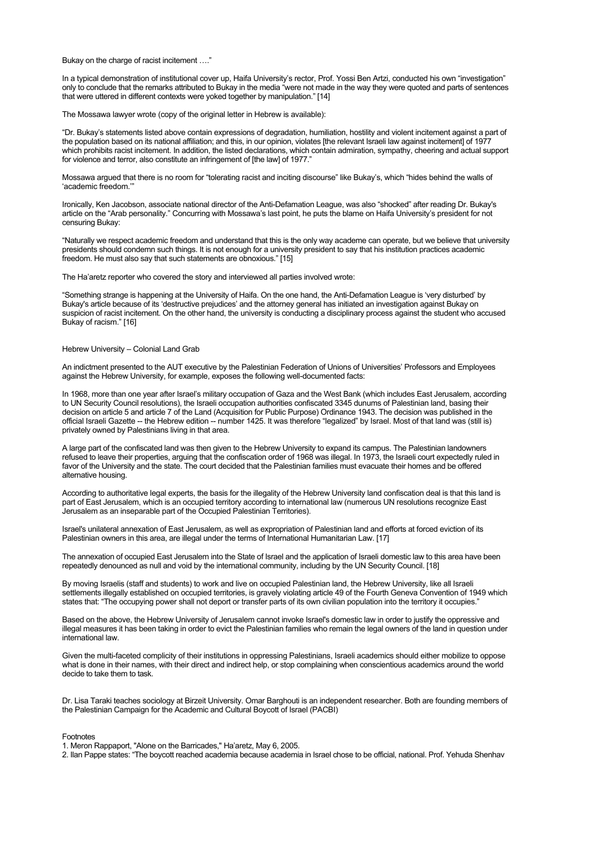Bukay on the charge of racist incitement …."

In a typical demonstration of institutional cover up, Haifa University's rector, Prof. Yossi Ben Artzi, conducted his own "investigation" only to conclude that the remarks attributed to Bukay in the media "were not made in the way they were quoted and parts of sentences that were uttered in different contexts were yoked together by manipulation." [14]

The Mossawa lawyer wrote (copy of the original letter in Hebrew is available):

"Dr. Bukay's statements listed above contain expressions of degradation, humiliation, hostility and violent incitement against a part of the population based on its national affiliation; and this, in our opinion, violates [the relevant Israeli law against incitement] of 1977 which prohibits racist incitement. In addition, the listed declarations, which contain admiration, sympathy, cheering and actual support for violence and terror, also constitute an infringement of [the law] of 1977."

Mossawa argued that there is no room for "tolerating racist and inciting discourse" like Bukay's, which "hides behind the walls of 'academic freedom.'"

Ironically, Ken Jacobson, associate national director of the Anti-Defamation League, was also "shocked" after reading Dr. Bukay's article on the "Arab personality." Concurring with Mossawa's last point, he puts the blame on Haifa University's president for not censuring Bukay:

"Naturally we respect academic freedom and understand that this is the only way academe can operate, but we believe that university presidents should condemn such things. It is not enough for a university president to say that his institution practices academic freedom. He must also say that such statements are obnoxious." [15]

The Ha'aretz reporter who covered the story and interviewed all parties involved wrote:

"Something strange is happening at the University of Haifa. On the one hand, the Anti-Defamation League is 'very disturbed' by Bukay's article because of its 'destructive prejudices' and the attorney general has initiated an investigation against Bukay on suspicion of racist incitement. On the other hand, the university is conducting a disciplinary process against the student who accused Bukay of racism." [16]

## Hebrew University – Colonial Land Grab

An indictment presented to the AUT executive by the Palestinian Federation of Unions of Universities' Professors and Employees against the Hebrew University, for example, exposes the following well-documented facts:

In 1968, more than one year after Israel's military occupation of Gaza and the West Bank (which includes East Jerusalem, according to UN Security Council resolutions), the Israeli occupation authorities confiscated 3345 dunums of Palestinian land, basing their decision on article 5 and article 7 of the Land (Acquisition for Public Purpose) Ordinance 1943. The decision was published in the official Israeli Gazette -- the Hebrew edition -- number 1425. It was therefore "legalized" by Israel. Most of that land was (still is) privately owned by Palestinians living in that area.

A large part of the confiscated land was then given to the Hebrew University to expand its campus. The Palestinian landowners refused to leave their properties, arguing that the confiscation order of 1968 was illegal. In 1973, the Israeli court expectedly ruled in favor of the University and the state. The court decided that the Palestinian families must evacuate their homes and be offered alternative housing.

According to authoritative legal experts, the basis for the illegality of the Hebrew University land confiscation deal is that this land is part of East Jerusalem, which is an occupied territory according to international law (numerous UN resolutions recognize East Jerusalem as an inseparable part of the Occupied Palestinian Territories).

Israel's unilateral annexation of East Jerusalem, as well as expropriation of Palestinian land and efforts at forced eviction of its Palestinian owners in this area, are illegal under the terms of International Humanitarian Law. [17]

The annexation of occupied East Jerusalem into the State of Israel and the application of Israeli domestic law to this area have been repeatedly denounced as null and void by the international community, including by the UN Security Council. [18]

By moving Israelis (staff and students) to work and live on occupied Palestinian land, the Hebrew University, like all Israeli settlements illegally established on occupied territories, is gravely violating article 49 of the Fourth Geneva Convention of 1949 which states that: "The occupying power shall not deport or transfer parts of its own civilian population into the territory it occupies."

Based on the above, the Hebrew University of Jerusalem cannot invoke Israel's domestic law in order to justify the oppressive and illegal measures it has been taking in order to evict the Palestinian families who remain the legal owners of the land in question under international law.

Given the multi-faceted complicity of their institutions in oppressing Palestinians, Israeli academics should either mobilize to oppose what is done in their names, with their direct and indirect help, or stop complaining when conscientious academics around the world decide to take them to task.

Dr. Lisa Taraki teaches sociology at Birzeit University. Omar Barghouti is an independent researcher. Both are founding members of the Palestinian Campaign for the Academic and Cultural Boycott of Israel (PACBI)

## Footnotes

1. Meron Rappaport, "Alone on the Barricades," Ha'aretz, May 6, 2005.

2. Ilan Pappe states: "The boycott reached academia because academia in Israel chose to be official, national. Prof. Yehuda Shenhav